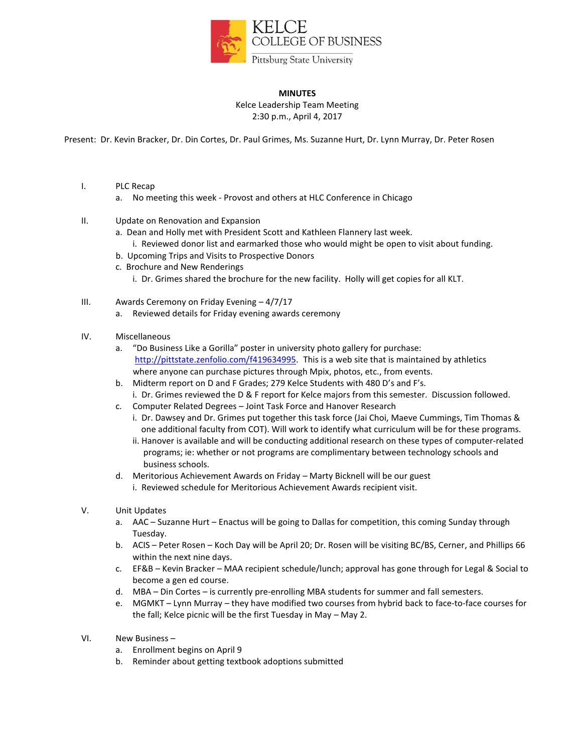

## **MINUTES**

Kelce Leadership Team Meeting 2:30 p.m., April 4, 2017

Present: Dr. Kevin Bracker, Dr. Din Cortes, Dr. Paul Grimes, Ms. Suzanne Hurt, Dr. Lynn Murray, Dr. Peter Rosen

- I. PLC Recap
	- a. No meeting this week Provost and others at HLC Conference in Chicago
- II. Update on Renovation and Expansion
	- a. Dean and Holly met with President Scott and Kathleen Flannery last week.
		- i. Reviewed donor list and earmarked those who would might be open to visit about funding.
	- b. Upcoming Trips and Visits to Prospective Donors
	- c. Brochure and New Renderings
		- i. Dr. Grimes shared the brochure for the new facility. Holly will get copies for all KLT.
- III. Awards Ceremony on Friday Evening 4/7/17
	- a. Reviewed details for Friday evening awards ceremony
- IV. Miscellaneous
	- a. "Do Business Like a Gorilla" poster in university photo gallery for purchase: [http://pittstate.zenfolio.com/f419634995.](http://pittstate.zenfolio.com/f419634995) This is a web site that is maintained by athletics where anyone can purchase pictures through Mpix, photos, etc., from events.
	- b. Midterm report on D and F Grades; 279 Kelce Students with 480 D's and F's.
		- i. Dr. Grimes reviewed the D & F report for Kelce majors from this semester. Discussion followed.
	- c. Computer Related Degrees Joint Task Force and Hanover Research
		- i. Dr. Dawsey and Dr. Grimes put together this task force (Jai Choi, Maeve Cummings, Tim Thomas & one additional faculty from COT). Will work to identify what curriculum will be for these programs.
			- ii. Hanover is available and will be conducting additional research on these types of computer-related programs; ie: whether or not programs are complimentary between technology schools and business schools.
	- d. Meritorious Achievement Awards on Friday Marty Bicknell will be our guest
		- i. Reviewed schedule for Meritorious Achievement Awards recipient visit.
- V. Unit Updates
	- a. AAC Suzanne Hurt Enactus will be going to Dallas for competition, this coming Sunday through Tuesday.
	- b. ACIS Peter Rosen Koch Day will be April 20; Dr. Rosen will be visiting BC/BS, Cerner, and Phillips 66 within the next nine days.
	- c. EF&B Kevin Bracker MAA recipient schedule/lunch; approval has gone through for Legal & Social to become a gen ed course.
	- d. MBA Din Cortes is currently pre-enrolling MBA students for summer and fall semesters.
	- e. MGMKT Lynn Murray they have modified two courses from hybrid back to face-to-face courses for the fall; Kelce picnic will be the first Tuesday in May – May 2.
- VI. New Business
	- a. Enrollment begins on April 9
	- b. Reminder about getting textbook adoptions submitted